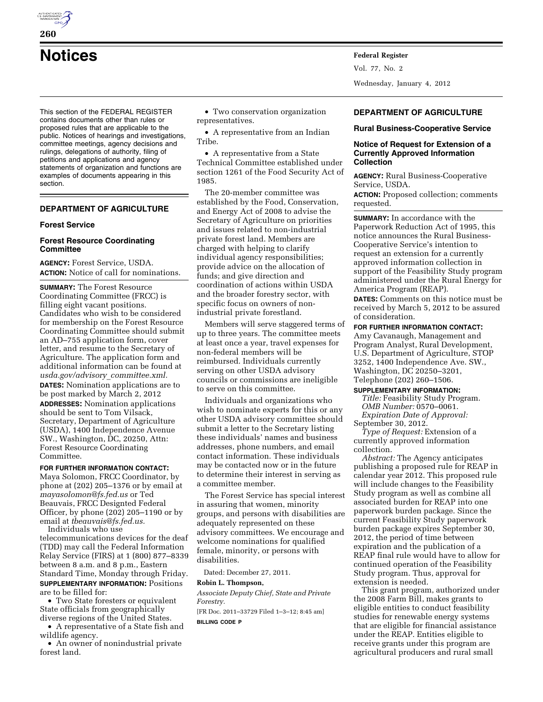

This section of the FEDERAL REGISTER contains documents other than rules or proposed rules that are applicable to the public. Notices of hearings and investigations, committee meetings, agency decisions and rulings, delegations of authority, filing of petitions and applications and agency statements of organization and functions are examples of documents appearing in this section.

## **DEPARTMENT OF AGRICULTURE**

#### **Forest Service**

## **Forest Resource Coordinating Committee**

**AGENCY:** Forest Service, USDA. **ACTION:** Notice of call for nominations.

**SUMMARY:** The Forest Resource Coordinating Committee (FRCC) is filling eight vacant positions. Candidates who wish to be considered for membership on the Forest Resource Coordinating Committee should submit an AD–755 application form, cover letter, and resume to the Secretary of Agriculture. The application form and additional information can be found at *usda.gov/advisory*\_*committee.xml.*  **DATES:** Nomination applications are to be post marked by March 2, 2012 **ADDRESSES:** Nomination applications should be sent to Tom Vilsack, Secretary, Department of Agriculture (USDA), 1400 Independence Avenue SW., Washington, DC, 20250, Attn: Forest Resource Coordinating Committee.

**FOR FURTHER INFORMATION CONTACT:**  Maya Solomon, FRCC Coordinator, by phone at (202) 205–1376 or by email at *[mayasolomon@fs.fed.us](mailto:mayasolomon@fs.fed.us)* or Ted Beauvais, FRCC Designted Federal Officer, by phone (202) 205–1190 or by email at *[tbeauvais@fs.fed.us.](mailto:tbeauvais@fs.fed.us)*  Individuals who use

telecommunications devices for the deaf (TDD) may call the Federal Information Relay Service (FIRS) at 1 (800) 877–8339 between 8 a.m. and 8 p.m., Eastern Standard Time, Monday through Friday. **SUPPLEMENTARY INFORMATION:** Positions are to be filled for:

• Two State foresters or equivalent State officials from geographically diverse regions of the United States.

• A representative of a State fish and wildlife agency.

• An owner of nonindustrial private forest land.

• Two conservation organization representatives.

• A representative from an Indian Tribe.

• A representative from a State Technical Committee established under section 1261 of the Food Security Act of 1985.

The 20-member committee was established by the Food, Conservation, and Energy Act of 2008 to advise the Secretary of Agriculture on priorities and issues related to non-industrial private forest land. Members are charged with helping to clarify individual agency responsibilities; provide advice on the allocation of funds; and give direction and coordination of actions within USDA and the broader forestry sector, with specific focus on owners of nonindustrial private forestland.

Members will serve staggered terms of up to three years. The committee meets at least once a year, travel expenses for non-federal members will be reimbursed. Individuals currently serving on other USDA advisory councils or commissions are ineligible to serve on this committee.

Individuals and organizations who wish to nominate experts for this or any other USDA advisory committee should submit a letter to the Secretary listing these individuals' names and business addresses, phone numbers, and email contact information. These individuals may be contacted now or in the future to determine their interest in serving as a committee member.

The Forest Service has special interest in assuring that women, minority groups, and persons with disabilities are adequately represented on these advisory committees. We encourage and welcome nominations for qualified female, minority, or persons with disabilities.

Dated: December 27, 2011.

#### **Robin L. Thompson,**

*Associate Deputy Chief, State and Private Forestry.* 

[FR Doc. 2011–33729 Filed 1–3–12; 8:45 am] **BILLING CODE P** 

Vol. 77, No. 2

Wednesday, January 4, 2012

# **DEPARTMENT OF AGRICULTURE**

**Rural Business-Cooperative Service** 

## **Notice of Request for Extension of a Currently Approved Information Collection**

**AGENCY:** Rural Business-Cooperative Service, USDA.

**ACTION:** Proposed collection; comments requested.

**SUMMARY:** In accordance with the Paperwork Reduction Act of 1995, this notice announces the Rural Business-Cooperative Service's intention to request an extension for a currently approved information collection in support of the Feasibility Study program administered under the Rural Energy for America Program (REAP).

**DATES:** Comments on this notice must be received by March 5, 2012 to be assured of consideration.

#### **FOR FURTHER INFORMATION CONTACT:**

Amy Cavanaugh, Management and Program Analyst, Rural Development, U.S. Department of Agriculture, STOP 3252, 1400 Independence Ave. SW., Washington, DC 20250–3201, Telephone (202) 260–1506.

#### **SUPPLEMENTARY INFORMATION:**

*Title:* Feasibility Study Program. *OMB Number:* 0570–0061. *Expiration Date of Approval:* 

September 30, 2012.

*Type of Request:* Extension of a currently approved information collection.

*Abstract:* The Agency anticipates publishing a proposed rule for REAP in calendar year 2012. This proposed rule will include changes to the Feasibility Study program as well as combine all associated burden for REAP into one paperwork burden package. Since the current Feasibility Study paperwork burden package expires September 30, 2012, the period of time between expiration and the publication of a REAP final rule would have to allow for continued operation of the Feasibility Study program. Thus, approval for extension is needed.

This grant program, authorized under the 2008 Farm Bill, makes grants to eligible entities to conduct feasibility studies for renewable energy systems that are eligible for financial assistance under the REAP. Entities eligible to receive grants under this program are agricultural producers and rural small